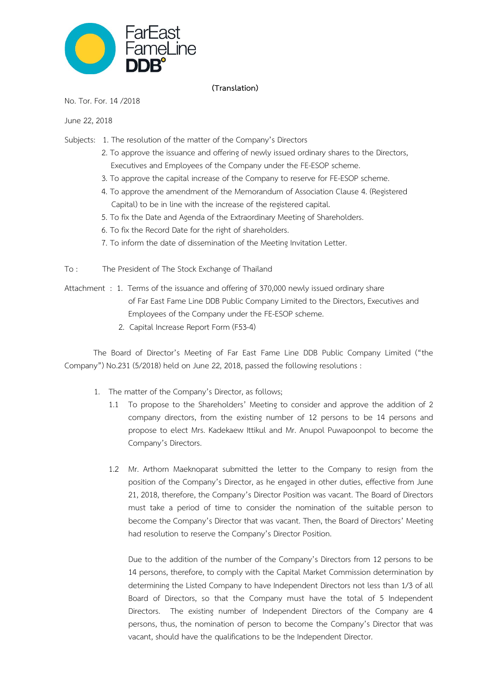

### **(Translation)**

No. Tor. For. 14 /2018

June 22, 2018

- Subjects: 1. The resolution of the matter of the Company's Directors
	- 2. To approve the issuance and offering of newly issued ordinary shares to the Directors, Executives and Employees of the Company under the FE-ESOP scheme.
	- 3. To approve the capital increase of the Company to reserve for FE-ESOP scheme.
	- 4. To approve the amendment of the Memorandum of Association Clause 4. (Registered Capital) to be in line with the increase of the registered capital.
	- 5. To fix the Date and Agenda of the Extraordinary Meeting of Shareholders.
	- 6. To fix the Record Date for the right of shareholders.
	- 7. To inform the date of dissemination of the Meeting Invitation Letter.
- To : The President of The Stock Exchange of Thailand
- Attachment : 1. Terms of the issuance and offering of 370,000 newly issued ordinary share of Far East Fame Line DDB Public Company Limited to the Directors, Executives and Employees of the Company under the FE-ESOP scheme.
	- 2. Capital Increase Report Form (F53-4)

The Board of Director's Meeting of Far East Fame Line DDB Public Company Limited ("the Company") No.231 (5/2018) held on June 22, 2018, passed the following resolutions :

- 1. The matter of the Company's Director, as follows;
	- 1.1 To propose to the Shareholders' Meeting to consider and approve the addition of 2 company directors, from the existing number of 12 persons to be 14 persons and propose to elect Mrs. Kadekaew Ittikul and Mr. Anupol Puwapoonpol to become the Company's Directors.
	- 1.2 Mr. Arthorn Maeknoparat submitted the letter to the Company to resign from the position of the Company's Director, as he engaged in other duties, effective from June 21, 2018, therefore, the Company's Director Position was vacant. The Board of Directors must take a period of time to consider the nomination of the suitable person to become the Company's Director that was vacant. Then, the Board of Directors' Meeting had resolution to reserve the Company's Director Position.

Due to the addition of the number of the Company's Directors from 12 persons to be 14 persons, therefore, to comply with the Capital Market Commission determination by determining the Listed Company to have Independent Directors not less than 1/3 of all Board of Directors, so that the Company must have the total of 5 Independent Directors. The existing number of Independent Directors of the Company are 4 persons, thus, the nomination of person to become the Company's Director that was vacant, should have the qualifications to be the Independent Director.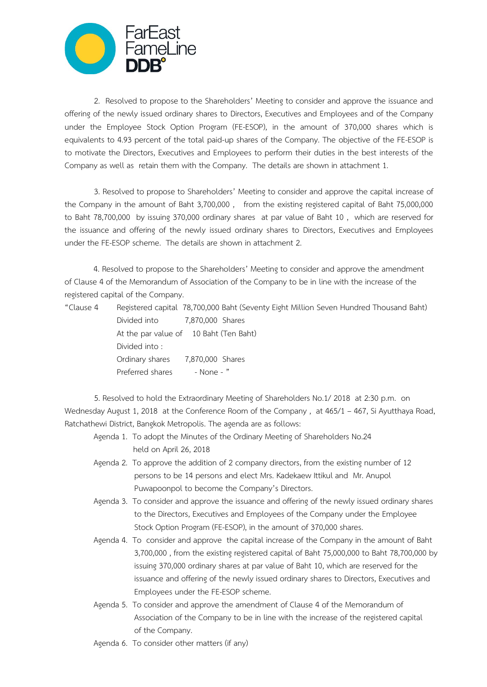

2. Resolved to propose to the Shareholders' Meeting to consider and approve the issuance and offering of the newly issued ordinary shares to Directors, Executives and Employees and of the Company under the Employee Stock Option Program (FE-ESOP), in the amount of 370,000 shares which is equivalents to 4.93 percent of the total paid-up shares of the Company. The objective of the FE-ESOP is to motivate the Directors, Executives and Employees to perform their duties in the best interests of the Company as well as retain them with the Company. The details are shown in attachment 1.

3. Resolved to propose to Shareholders' Meeting to consider and approve the capital increase of the Company in the amount of Baht 3,700,000 , from the existing registered capital of Baht 75,000,000 to Baht 78,700,000 by issuing 370,000 ordinary shares at par value of Baht 10 , which are reserved for the issuance and offering of the newly issued ordinary shares to Directors, Executives and Employees under the FE-ESOP scheme. The details are shown in attachment 2.

4. Resolved to propose to the Shareholders' Meeting to consider and approve the amendment of Clause 4 of the Memorandum of Association of the Company to be in line with the increase of the registered capital of the Company.

| "Clause 4 |  |  |  | Registered capital 78,700,000 Baht (Seventy Eight Million Seven Hundred Thousand Baht) |
|-----------|--|--|--|----------------------------------------------------------------------------------------|
|-----------|--|--|--|----------------------------------------------------------------------------------------|

 Divided into 7,870,000 Shares At the par value of 10 Baht (Ten Baht) Divided into : Ordinary shares 7,870,000 Shares Preferred shares - None - "

5. Resolved to hold the Extraordinary Meeting of Shareholders No.1/ 2018 at 2:30 p.m. on Wednesday August 1, 2018 at the Conference Room of the Company, at 465/1 – 467, Si Ayutthaya Road, Ratchathewi District, Bangkok Metropolis. The agenda are as follows:

- Agenda 1. To adopt the Minutes of the Ordinary Meeting of Shareholders No.24 held on April 26, 2018
- Agenda 2. To approve the addition of 2 company directors, from the existing number of 12 persons to be 14 persons and elect Mrs. Kadekaew Ittikul and Mr. Anupol Puwapoonpol to become the Company's Directors.
- Agenda 3. To consider and approve the issuance and offering of the newly issued ordinary shares to the Directors, Executives and Employees of the Company under the Employee Stock Option Program (FE-ESOP), in the amount of 370,000 shares.
- Agenda 4. To consider and approve the capital increase of the Company in the amount of Baht 3,700,000 , from the existing registered capital of Baht 75,000,000 to Baht 78,700,000 by issuing 370,000 ordinary shares at par value of Baht 10, which are reserved for the issuance and offering of the newly issued ordinary shares to Directors, Executives and Employees under the FE-ESOP scheme.
- Agenda 5. To consider and approve the amendment of Clause 4 of the Memorandum of Association of the Company to be in line with the increase of the registered capital of the Company.
- Agenda 6. To consider other matters (if any)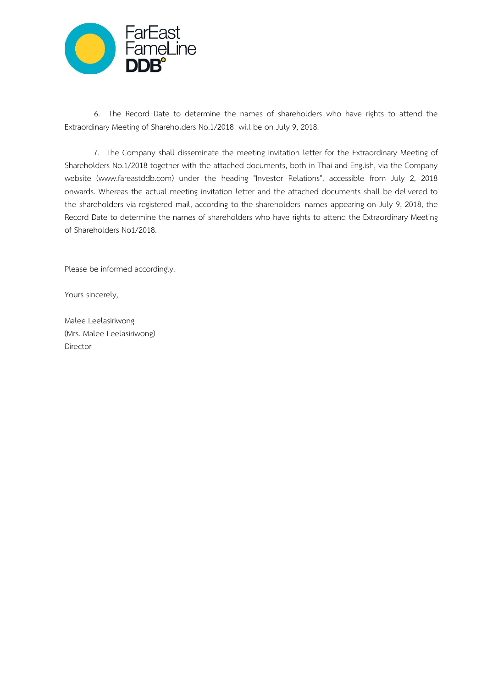

6. The Record Date to determine the names of shareholders who have rights to attend the Extraordinary Meeting of Shareholders No.1/2018 will be on July 9, 2018.

7. The Company shall disseminate the meeting invitation letter for the Extraordinary Meeting of Shareholders No.1/2018 together with the attached documents, both in Thai and English, via the Company website [\(www.fareastddb.com\)](http://www.fareastddb.com/) under the heading "Investor Relations", accessible from July 2, 2018 onwards. Whereas the actual meeting invitation letter and the attached documents shall be delivered to the shareholders via registered mail, according to the shareholders' names appearing on July 9, 2018, the Record Date to determine the names of shareholders who have rights to attend the Extraordinary Meeting of Shareholders No1/2018.

Please be informed accordingly.

Yours sincerely,

Malee Leelasiriwong (Mrs. Malee Leelasiriwong) Director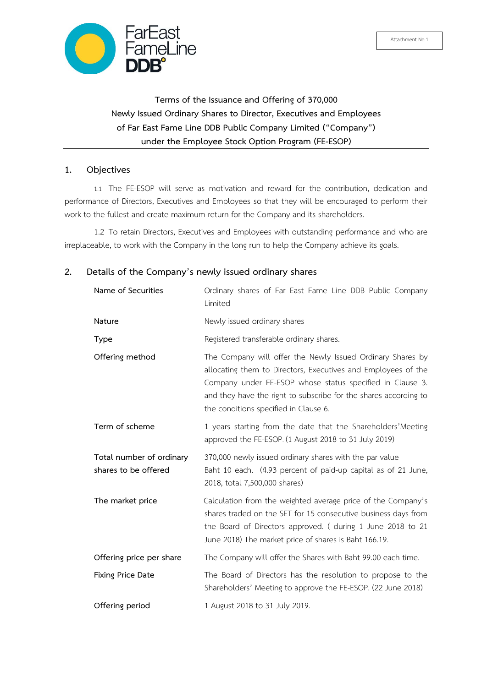

**Terms of the Issuance and Offering of 370,000 Newly Issued Ordinary Shares to Director, Executives and Employees of Far East Fame Line DDB Public Company Limited ("Company") under the Employee Stock Option Program (FE-ESOP)** 

### **1. Objectives**

1.1 The FE-ESOP will serve as motivation and reward for the contribution, dedication and performance of Directors, Executives and Employees so that they will be encouraged to perform their work to the fullest and create maximum return for the Company and its shareholders.

1.2 To retain Directors, Executives and Employees with outstanding performance and who are irreplaceable, to work with the Company in the long run to help the Company achieve its goals.

## **2. Details of the Company's newly issued ordinary shares**

| Name of Securities                               | Ordinary shares of Far East Fame Line DDB Public Company<br>Limited                                                                                                                                                                                                                                   |
|--------------------------------------------------|-------------------------------------------------------------------------------------------------------------------------------------------------------------------------------------------------------------------------------------------------------------------------------------------------------|
| Nature                                           | Newly issued ordinary shares                                                                                                                                                                                                                                                                          |
| Type                                             | Registered transferable ordinary shares.                                                                                                                                                                                                                                                              |
| Offering method                                  | The Company will offer the Newly Issued Ordinary Shares by<br>allocating them to Directors, Executives and Employees of the<br>Company under FE-ESOP whose status specified in Clause 3.<br>and they have the right to subscribe for the shares according to<br>the conditions specified in Clause 6. |
| Term of scheme                                   | 1 years starting from the date that the Shareholders' Meeting<br>approved the FE-ESOP. (1 August 2018 to 31 July 2019)                                                                                                                                                                                |
| Total number of ordinary<br>shares to be offered | 370,000 newly issued ordinary shares with the par value<br>Baht 10 each. (4.93 percent of paid-up capital as of 21 June,<br>2018, total 7,500,000 shares)                                                                                                                                             |
| The market price                                 | Calculation from the weighted average price of the Company's<br>shares traded on the SET for 15 consecutive business days from<br>the Board of Directors approved. ( during 1 June 2018 to 21<br>June 2018) The market price of shares is Baht 166.19.                                                |
| Offering price per share                         | The Company will offer the Shares with Baht 99.00 each time.                                                                                                                                                                                                                                          |
| Fixing Price Date                                | The Board of Directors has the resolution to propose to the<br>Shareholders' Meeting to approve the FE-ESOP. (22 June 2018)                                                                                                                                                                           |
| Offering period                                  | 1 August 2018 to 31 July 2019.                                                                                                                                                                                                                                                                        |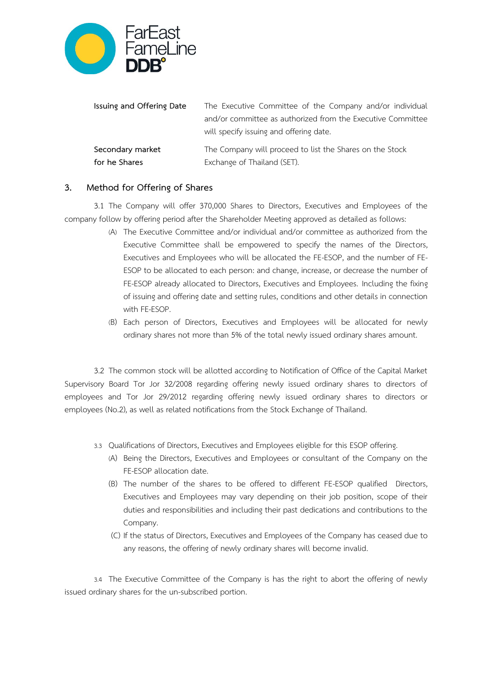

| Issuing and Offering Date | The Executive Committee of the Company and/or individual    |
|---------------------------|-------------------------------------------------------------|
|                           | and/or committee as authorized from the Executive Committee |
|                           | will specify issuing and offering date.                     |
| Secondary market          | The Company will proceed to list the Shares on the Stock    |
| for he Shares             | Exchange of Thailand (SET).                                 |

## **3. Method for Offering of Shares**

3.1 The Company will offer 370,000 Shares to Directors, Executives and Employees of the company follow by offering period after the Shareholder Meeting approved as detailed as follows:

- (A) The Executive Committee and/or individual and/or committee as authorized from the Executive Committee shall be empowered to specify the names of the Directors, Executives and Employees who will be allocated the FE-ESOP, and the number of FE-ESOP to be allocated to each person: and change, increase, or decrease the number of FE-ESOP already allocated to Directors, Executives and Employees. Including the fixing of issuing and offering date and setting rules, conditions and other details in connection with FE-ESOP.
- (B) Each person of Directors, Executives and Employees will be allocated for newly ordinary shares not more than 5% of the total newly issued ordinary shares amount.

3.2 The common stock will be allotted according to Notification of Office of the Capital Market Supervisory Board Tor Jor 32/2008 regarding offering newly issued ordinary shares to directors of employees and Tor Jor 29/2012 regarding offering newly issued ordinary shares to directors or employees (No.2), as well as related notifications from the Stock Exchange of Thailand.

- 3.3 Qualifications of Directors, Executives and Employees eligible for this ESOP offering.
	- (A) Being the Directors, Executives and Employees or consultant of the Company on the FE-ESOP allocation date.
	- (B) The number of the shares to be offered to different FE-ESOP qualified Directors, Executives and Employees may vary depending on their job position, scope of their duties and responsibilities and including their past dedications and contributions to the Company.
	- (C) If the status of Directors, Executives and Employees of the Company has ceased due to any reasons, the offering of newly ordinary shares will become invalid.

3.4 The Executive Committee of the Company is has the right to abort the offering of newly issued ordinary shares for the un-subscribed portion.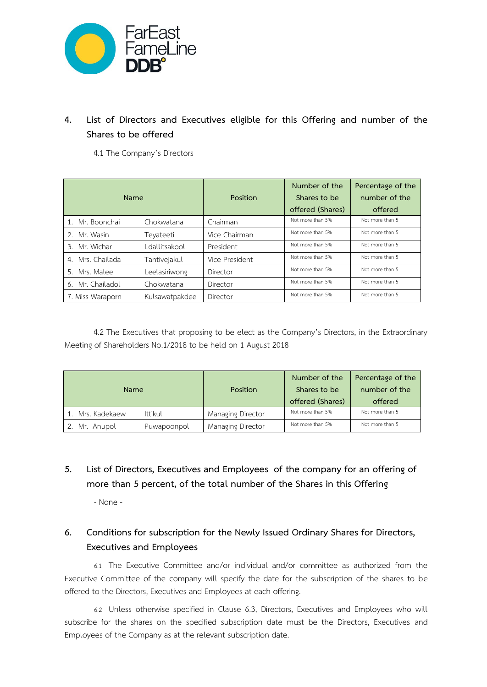

# **4. List of Directors and Executives eligible for this Offering and number of the Shares to be offered**

4.1 The Company's Directors

|                     | Name           | Position       | Number of the<br>Shares to be<br>offered (Shares) | Percentage of the<br>number of the<br>offered |
|---------------------|----------------|----------------|---------------------------------------------------|-----------------------------------------------|
|                     |                |                | Not more than 5%                                  | Not more than 5                               |
| 1. Mr. Boonchai     | Chokwatana     | Chairman       |                                                   |                                               |
| 2.<br>Mr. Wasin     | Teyateeti      | Vice Chairman  | Not more than 5%                                  | Not more than 5                               |
| Mr. Wichar<br>3.    | Ldallitsakool  | President      | Not more than 5%                                  | Not more than 5                               |
| Mrs. Chailada<br>4. | Tantivejakul   | Vice President | Not more than 5%                                  | Not more than 5                               |
| Mrs. Malee<br>5.    | Leelasiriwong  | Director       | Not more than 5%                                  | Not more than 5                               |
| Mr. Chailadol<br>6. | Chokwatana     | Director       | Not more than 5%                                  | Not more than 5                               |
| 7. Miss Waraporn    | Kulsawatpakdee | Director       | Not more than 5%                                  | Not more than 5                               |

4.2 The Executives that proposing to be elect as the Company's Directors, in the Extraordinary Meeting of Shareholders No.1/2018 to be held on 1 August 2018

| Name             |             | Position          | Number of the<br>Shares to be<br>offered (Shares) | Percentage of the<br>number of the<br>offered |
|------------------|-------------|-------------------|---------------------------------------------------|-----------------------------------------------|
| 1. Mrs. Kadekaew | Ittikul     | Managing Director | Not more than 5%                                  | Not more than 5                               |
| Mr. Anupol       | Puwapoonpol | Managing Director | Not more than 5%                                  | Not more than 5                               |

# **5. List of Directors, Executives and Employees of the company for an offering of more than 5 percent, of the total number of the Shares in this Offering**

- None -

# **6. Conditions for subscription for the Newly Issued Ordinary Shares for Directors, Executives and Employees**

6.1 The Executive Committee and/or individual and/or committee as authorized from the Executive Committee of the company will specify the date for the subscription of the shares to be offered to the Directors, Executives and Employees at each offering.

6.2 Unless otherwise specified in Clause 6.3, Directors, Executives and Employees who will subscribe for the shares on the specified subscription date must be the Directors, Executives and Employees of the Company as at the relevant subscription date.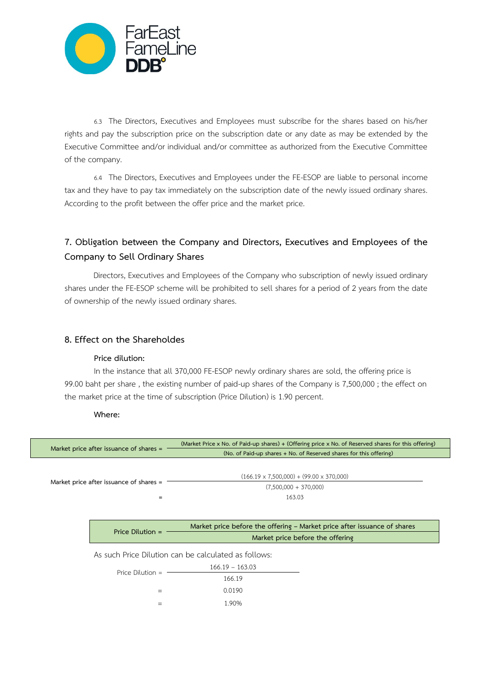

6.3 The Directors, Executives and Employees must subscribe for the shares based on his/her rights and pay the subscription price on the subscription date or any date as may be extended by the Executive Committee and/or individual and/or committee as authorized from the Executive Committee of the company.

6.4 The Directors, Executives and Employees under the FE-ESOP are liable to personal income tax and they have to pay tax immediately on the subscription date of the newly issued ordinary shares. According to the profit between the offer price and the market price.

# **7. Obligation between the Company and Directors, Executives and Employees of the Company to Sell Ordinary Shares**

 Directors, Executives and Employees of the Company who subscription of newly issued ordinary shares under the FE-ESOP scheme will be prohibited to sell shares for a period of 2 years from the date of ownership of the newly issued ordinary shares.

## **8. Effect on the Shareholdes**

### **Price dilution:**

In the instance that all 370,000 FE-ESOP newly ordinary shares are sold, the offering price is 99.00 baht per share , the existing number of paid-up shares of the Company is 7,500,000 ; the effect on the market price at the time of subscription (Price Dilution) is 1.90 percent.

### **Where:**

|                                         | (Market Price x No. of Paid-up shares) + (Offering price x No. of Reserved shares for this offering) |
|-----------------------------------------|------------------------------------------------------------------------------------------------------|
| Market price after issuance of shares = | (No. of Paid-up shares + No. of Reserved shares for this offering)                                   |
| Market price after issuance of shares = | $(166.19 \times 7,500,000) + (99.00 \times 370,000)$<br>$(7,500,000 + 370,000)$                      |
| $=$                                     | 163.03                                                                                               |
|                                         |                                                                                                      |
|                                         | Market price before the offering – Market price after issuance of shares                             |
|                                         |                                                                                                      |
| Price Dilution $=$                      | Market price before the offering                                                                     |
|                                         | As such Price Dilution can be calculated as follows:                                                 |
|                                         | $166.19 - 163.03$                                                                                    |
| Price Dilution $=$                      | 166.19                                                                                               |
| $=$                                     | 0.0190                                                                                               |
| $=$                                     | 1.90%                                                                                                |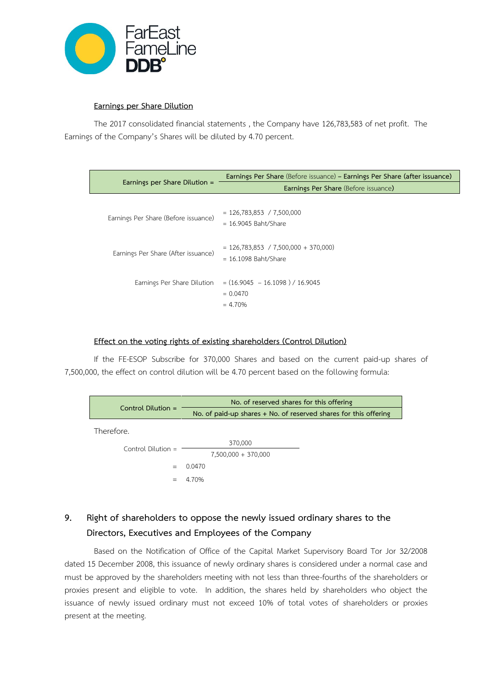

### **Earnings per Share Dilution**

The 2017 consolidated financial statements , the Company have 126,783,583 of net profit. The Earnings of the Company's Shares will be diluted by 4.70 percent.

|                                      | Earnings Per Share (Before issuance) – Earnings Per Share (after issuance) |
|--------------------------------------|----------------------------------------------------------------------------|
| Earnings per Share Dilution =        | <b>Earnings Per Share (Before issuance)</b>                                |
| Earnings Per Share (Before issuance) | $= 126,783,853 / 7,500,000$<br>$= 16.9045$ Baht/Share                      |
| Earnings Per Share (After issuance)  | $= 126,783,853$ / 7,500,000 + 370,000)<br>$= 16.1098$ Baht/Share           |
| Earnings Per Share Dilution          | $=(16.9045 - 16.1098)/16.9045$<br>$= 0.0470$<br>$= 4.70\%$                 |

### **Effect on the voting rights of existing shareholders (Control Dilution)**

If the FE-ESOP Subscribe for 370,000 Shares and based on the current paid-up shares of 7,500,000, the effect on control dilution will be 4.70 percent based on the following formula:



# **9. Right of shareholders to oppose the newly issued ordinary shares to the Directors, Executives and Employees of the Company**

Based on the Notification of Office of the Capital Market Supervisory Board Tor Jor 32/2008 dated 15 December 2008, this issuance of newly ordinary shares is considered under a normal case and must be approved by the shareholders meeting with not less than three-fourths of the shareholders or proxies present and eligible to vote. In addition, the shares held by shareholders who object the issuance of newly issued ordinary must not exceed 10% of total votes of shareholders or proxies present at the meeting.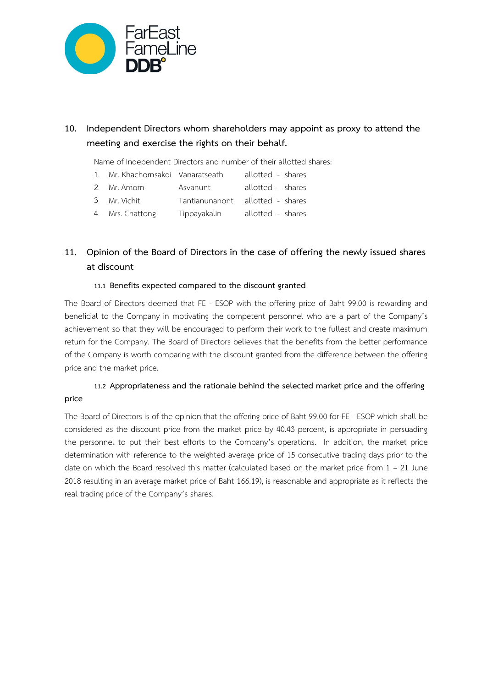

# **10. Independent Directors whom shareholders may appoint as proxy to attend the meeting and exercise the rights on their behalf.**

Name of Independent Directors and number of their allotted shares:

- 1. Mr. Khachornsakdi Vanaratseath allotted shares
- 2. Mr. Amorn Asvanunt allotted shares
- 3. Mr.Vichit Tantianunanont allotted shares
- 4. Mrs. Chattong Tippayakalin allotted shares

# **11. Opinion of the Board of Directors in the case of offering the newly issued shares at discount**

### **11.1 Benefits expected compared to the discount granted**

The Board of Directors deemed that FE - ESOP with the offering price of Baht 99.00 is rewarding and beneficial to the Company in motivating the competent personnel who are a part of the Company's achievement so that they will be encouraged to perform their work to the fullest and create maximum return for the Company. The Board of Directors believes that the benefits from the better performance of the Company is worth comparing with the discount granted from the difference between the offering price and the market price.

## **11.2 Appropriateness and the rationale behind the selected market price and the offering price**

The Board of Directors is of the opinion that the offering price of Baht 99.00 for FE - ESOP which shall be considered as the discount price from the market price by 40.43 percent, is appropriate in persuading the personnel to put their best efforts to the Company's operations. In addition, the market price determination with reference to the weighted average price of 15 consecutive trading days prior to the date on which the Board resolved this matter (calculated based on the market price from  $1 - 21$  June 2018 resulting in an average market price of Baht 166.19), is reasonable and appropriate as it reflects the real trading price of the Company's shares.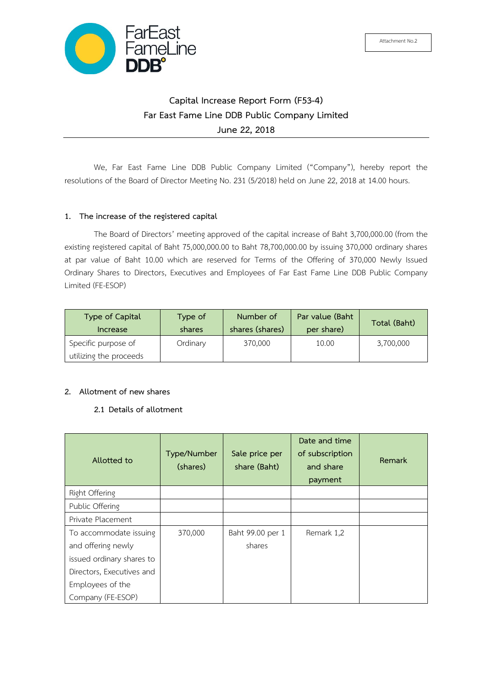

# **Capital Increase Report Form (F53-4) Far East Fame Line DDB Public Company Limited June 22, 2018**

We, Far East Fame Line DDB Public Company Limited ("Company"), hereby report the resolutions of the Board of Director Meeting No. 231 (5/2018) held on June 22, 2018 at 14.00 hours.

### **1. The increase of the registered capital**

The Board of Directors' meeting approved of the capital increase of Baht 3,700,000.00 (from the existing registered capital of Baht 75,000,000.00 to Baht 78,700,000.00 by issuing 370,000 ordinary shares at par value of Baht 10.00 which are reserved for Terms of the Offering of 370,000 Newly Issued Ordinary Shares to Directors, Executives and Employees of Far East Fame Line DDB Public Company Limited (FE-ESOP)

| Type of Capital                               | Type of  | Number of       | Par value (Baht | Total (Baht) |
|-----------------------------------------------|----------|-----------------|-----------------|--------------|
| Increase                                      | shares   | shares (shares) | per share)      |              |
| Specific purpose of<br>utilizing the proceeds | Ordinary | 370,000         | 10.00           | 3,700,000    |

### **2. Allotment of new shares**

## **2.1 Details of allotment**

| Allotted to                                                                                            | Type/Number<br>(shares) | Sale price per<br>share (Baht) | Date and time<br>of subscription<br>and share<br>payment | Remark |
|--------------------------------------------------------------------------------------------------------|-------------------------|--------------------------------|----------------------------------------------------------|--------|
| Right Offering                                                                                         |                         |                                |                                                          |        |
| Public Offering                                                                                        |                         |                                |                                                          |        |
| Private Placement                                                                                      |                         |                                |                                                          |        |
| To accommodate issuing<br>and offering newly<br>issued ordinary shares to<br>Directors, Executives and | 370,000                 | Baht 99.00 per 1<br>shares     | Remark 1,2                                               |        |
| Employees of the<br>Company (FE-ESOP)                                                                  |                         |                                |                                                          |        |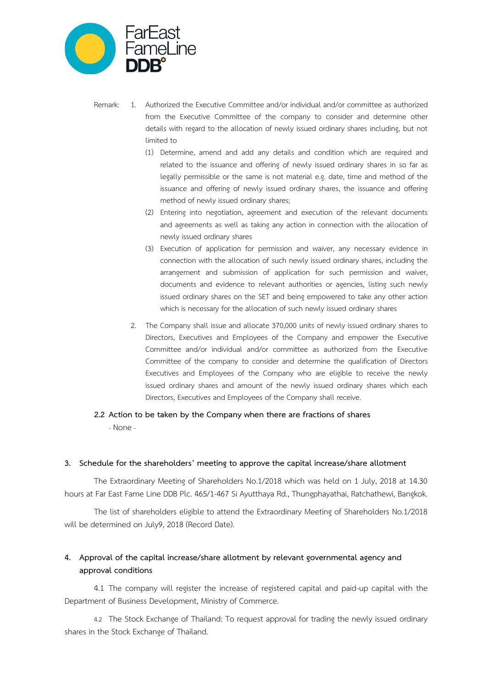

- Remark: 1. Authorized the Executive Committee and/or individual and/or committee as authorized from the Executive Committee of the company to consider and determine other details with regard to the allocation of newly issued ordinary shares including, but not limited to
	- (1) Determine, amend and add any details and condition which are required and related to the issuance and offering of newly issued ordinary shares in so far as legally permissible or the same is not material e.g. date, time and method of the issuance and offering of newly issued ordinary shares, the issuance and offering method of newly issued ordinary shares;
	- (2) Entering into negotiation, agreement and execution of the relevant documents and agreements as well as taking any action in connection with the allocation of newly issued ordinary shares
	- (3) Execution of application for permission and waiver, any necessary evidence in connection with the allocation of such newly issued ordinary shares, including the arrangement and submission of application for such permission and waiver, documents and evidence to relevant authorities or agencies, listing such newly issued ordinary shares on the SET and being empowered to take any other action which is necessary for the allocation of such newly issued ordinary shares
	- 2. The Company shall issue and allocate 370,000 units of newly issued ordinary shares to Directors, Executives and Employees of the Company and empower the Executive Committee and/or individual and/or committee as authorized from the Executive Committee of the company to consider and determine the qualification of Directors Executives and Employees of the Company who are eligible to receive the newly issued ordinary shares and amount of the newly issued ordinary shares which each Directors, Executives and Employees of the Company shall receive.
- **2.2 Action to be taken by the Company when there are fractions of shares** 
	- None-

#### **3. Schedule for the shareholders' meeting to approve the capital increase/share allotment**

The Extraordinary Meeting of Shareholders No.1/2018 which was held on 1 July, 2018 at 14.30 hours at Far East Fame Line DDB Plc. 465/1-467 Si Ayutthaya Rd., Thungphayathai, Ratchathewi, Bangkok.

The list of shareholders eligible to attend the Extraordinary Meeting of Shareholders No.1/2018 will be determined on July9, 2018 (Record Date).

## **4. Approval of the capital increase/share allotment by relevant governmental agency and approval conditions**

4.1 The company will register the increase of registered capital and paid-up capital with the Department of Business Development, Ministry of Commerce.

4.2 The Stock Exchange of Thailand: To request approval for trading the newly issued ordinary shares in the Stock Exchange of Thailand.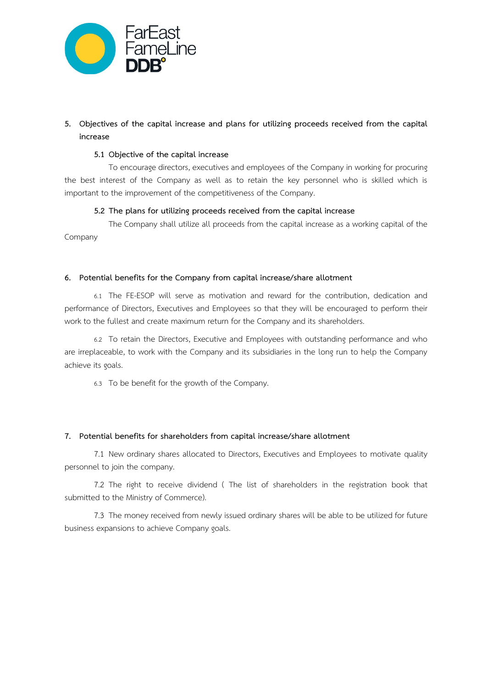

## **5. Objectives of the capital increase and plans for utilizing proceeds received from the capital increase**

### **5.1 Objective of the capital increase**

To encourage directors, executives and employees of the Company in working for procuring the best interest of the Company as well as to retain the key personnel who is skilled which is important to the improvement of the competitiveness of the Company.

## **5.2 The plans for utilizing proceeds received from the capital increase**

The Company shall utilize all proceeds from the capital increase as a working capital of the Company

### **6. Potential benefits for the Company from capital increase/share allotment**

6.1 The FE-ESOP will serve as motivation and reward for the contribution, dedication and performance of Directors, Executives and Employees so that they will be encouraged to perform their work to the fullest and create maximum return for the Company and its shareholders.

6.2 To retain the Directors, Executive and Employees with outstanding performance and who are irreplaceable, to work with the Company and its subsidiaries in the long run to help the Company achieve its goals.

6.3 To be benefit for the growth of the Company.

## **7. Potential benefits for shareholders from capital increase/share allotment**

7.1 New ordinary shares allocated to Directors, Executives and Employees to motivate quality personnel to join the company.

7.2 The right to receive dividend ( The list of shareholders in the registration book that submitted to the Ministry of Commerce).

7.3 The money received from newly issued ordinary shares will be able to be utilized for future business expansions to achieve Company goals.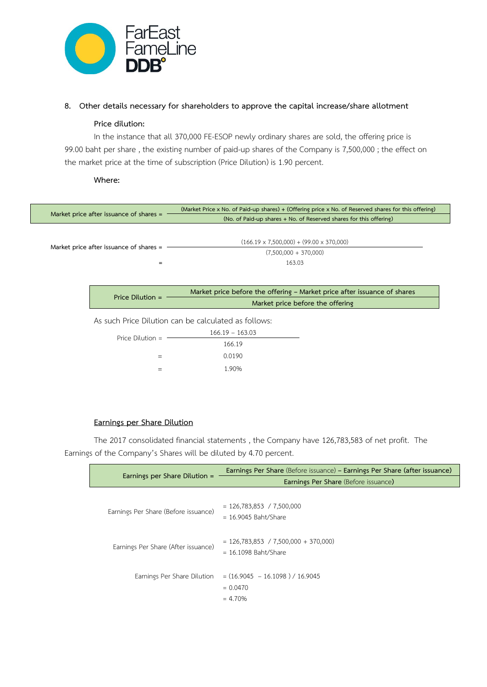

### **8. Other details necessary for shareholders to approve the capital increase/share allotment**

### **Price dilution:**

In the instance that all 370,000 FE-ESOP newly ordinary shares are sold, the offering price is 99.00 baht per share , the existing number of paid-up shares of the Company is 7,500,000 ; the effect on the market price at the time of subscription (Price Dilution) is 1.90 percent.

**Where:** 

| Market price after issuance of shares = |                                         | (Market Price x No. of Paid-up shares) + (Offering price x No. of Reserved shares for this offering) |
|-----------------------------------------|-----------------------------------------|------------------------------------------------------------------------------------------------------|
|                                         |                                         | (No. of Paid-up shares + No. of Reserved shares for this offering)                                   |
|                                         |                                         |                                                                                                      |
|                                         |                                         | $(166.19 \times 7,500,000) + (99.00 \times 370,000)$                                                 |
|                                         | Market price after issuance of shares = | $(7,500,000 + 370,000)$                                                                              |
|                                         | $=$                                     | 163.03                                                                                               |
|                                         |                                         |                                                                                                      |
|                                         |                                         |                                                                                                      |
|                                         |                                         | Market price before the offering - Market price after issuance of shares                             |
|                                         | Price Dilution $=$                      | Market price before the offering                                                                     |
|                                         |                                         | As such Price Dilution can be calculated as follows:                                                 |
|                                         |                                         | $166.19 - 163.03$                                                                                    |
|                                         | Price Dilution $=$                      |                                                                                                      |
|                                         |                                         | 166.19                                                                                               |
|                                         | $=$                                     | 0.0190                                                                                               |
|                                         | $=$                                     | 1.90%                                                                                                |
|                                         |                                         |                                                                                                      |

### **Earnings per Share Dilution**

The 2017 consolidated financial statements , the Company have 126,783,583 of net profit. The Earnings of the Company's Shares will be diluted by 4.70 percent.

|                                      | Earnings Per Share (Before issuance) - Earnings Per Share (after issuance) |  |
|--------------------------------------|----------------------------------------------------------------------------|--|
| Earnings per Share Dilution =        | Earnings Per Share (Before issuance)                                       |  |
| Earnings Per Share (Before issuance) | $= 126,783,853 / 7,500,000$<br>$= 16.9045$ Baht/Share                      |  |
| Earnings Per Share (After issuance)  | $= 126,783,853$ / 7,500,000 + 370,000)<br>$= 16.1098$ Baht/Share           |  |
| Earnings Per Share Dilution          | $=(16.9045 - 16.1098) / 16.9045$<br>$= 0.0470$<br>$= 4.70%$                |  |